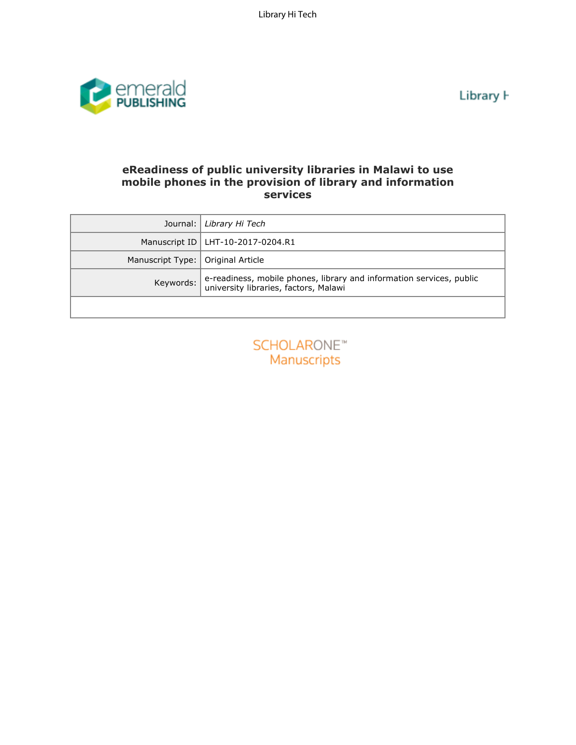

Library **H** 

# **eReadiness of public university libraries in Malawi to use mobile phones in the provision of library and information services**

| Journal:         | Library Hi Tech                                                                                               |  |  |  |  |  |
|------------------|---------------------------------------------------------------------------------------------------------------|--|--|--|--|--|
| Manuscript ID    | LHT-10-2017-0204.R1                                                                                           |  |  |  |  |  |
| Manuscript Type: | Original Article                                                                                              |  |  |  |  |  |
| Keywords:        | e-readiness, mobile phones, library and information services, public<br>university libraries, factors, Malawi |  |  |  |  |  |
|                  |                                                                                                               |  |  |  |  |  |
|                  | <b>SCHOLARONE™</b><br>Manuscripts                                                                             |  |  |  |  |  |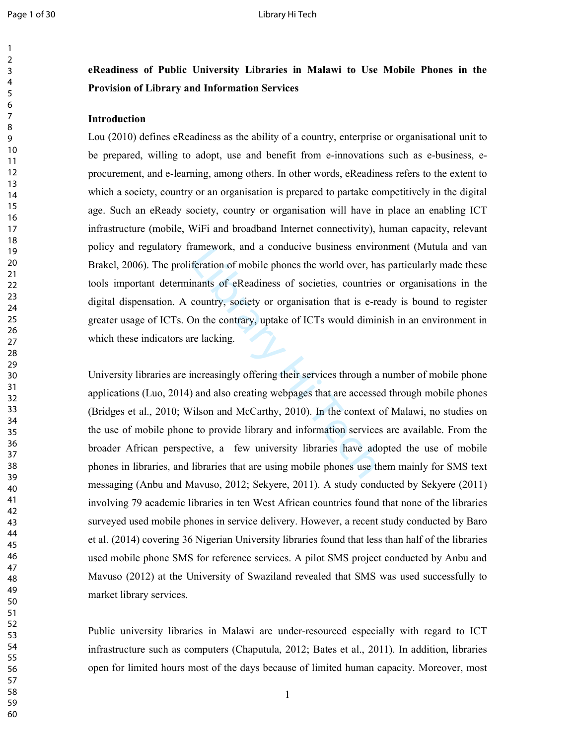# **eReadiness of Public University Libraries in Malawi to Use Mobile Phones in the Provision of Library and Information Services**

# **Introduction**

Lou (2010) defines eReadiness as the ability of a country, enterprise or organisational unit to be prepared, willing to adopt, use and benefit from e-innovations such as e-business, eprocurement, and e-learning, among others. In other words, eReadiness refers to the extent to which a society, country or an organisation is prepared to partake competitively in the digital age. Such an eReady society, country or organisation will have in place an enabling ICT infrastructure (mobile, WiFi and broadband Internet connectivity), human capacity, relevant policy and regulatory framework, and a conducive business environment (Mutula and van Brakel, 2006). The proliferation of mobile phones the world over, has particularly made these tools important determinants of eReadiness of societies, countries or organisations in the digital dispensation. A country, society or organisation that is e-ready is bound to register greater usage of ICTs. On the contrary, uptake of ICTs would diminish in an environment in which these indicators are lacking.

ramework, and a conductive business environment<br>feration of mobile phones the world over, has<br>mants of eReadiness of societies, countries<br>country, society or organisation that is e-rea<br>Dn the contrary, uptake of ICTs would University libraries are increasingly offering their services through a number of mobile phone applications (Luo, 2014) and also creating webpages that are accessed through mobile phones (Bridges et al., 2010; Wilson and McCarthy, 2010). In the context of Malawi, no studies on the use of mobile phone to provide library and information services are available. From the broader African perspective, a few university libraries have adopted the use of mobile phones in libraries, and libraries that are using mobile phones use them mainly for SMS text messaging (Anbu and Mavuso, 2012; Sekyere, 2011). A study conducted by Sekyere (2011) involving 79 academic libraries in ten West African countries found that none of the libraries surveyed used mobile phones in service delivery. However, a recent study conducted by Baro et al. (2014) covering 36 Nigerian University libraries found that less than half of the libraries used mobile phone SMS for reference services. A pilot SMS project conducted by Anbu and Mavuso (2012) at the University of Swaziland revealed that SMS was used successfully to market library services.

Public university libraries in Malawi are under-resourced especially with regard to ICT infrastructure such as computers (Chaputula, 2012; Bates et al., 2011). In addition, libraries open for limited hours most of the days because of limited human capacity. Moreover, most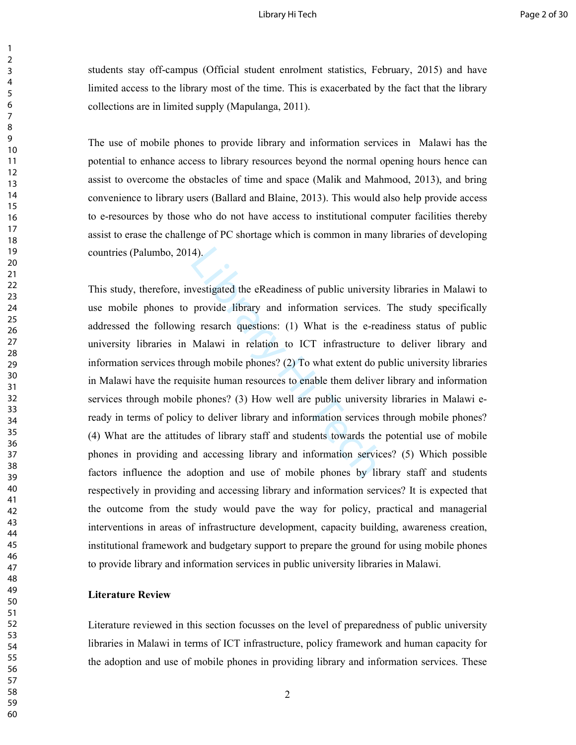students stay off-campus (Official student enrolment statistics, February, 2015) and have limited access to the library most of the time. This is exacerbated by the fact that the library collections are in limited supply (Mapulanga, 2011).

The use of mobile phones to provide library and information services in Malawi has the potential to enhance access to library resources beyond the normal opening hours hence can assist to overcome the obstacles of time and space (Malik and Mahmood, 2013), and bring convenience to library users (Ballard and Blaine, 2013). This would also help provide access to e-resources by those who do not have access to institutional computer facilities thereby assist to erase the challenge of PC shortage which is common in many libraries of developing countries (Palumbo, 2014).

4).<br>
westigated the eReadiness of public university<br>
provide library and information services.<br>
g resarch questions: (1) What is the e-read<br>
Malawi in relation to ICT infrastructure<br>
ough mobile phones? (2) To what extent This study, therefore, investigated the eReadiness of public university libraries in Malawi to use mobile phones to provide library and information services. The study specifically addressed the following resarch questions: (1) What is the e-readiness status of public university libraries in Malawi in relation to ICT infrastructure to deliver library and information services through mobile phones? (2) To what extent do public university libraries in Malawi have the requisite human resources to enable them deliver library and information services through mobile phones? (3) How well are public university libraries in Malawi eready in terms of policy to deliver library and information services through mobile phones? (4) What are the attitudes of library staff and students towards the potential use of mobile phones in providing and accessing library and information services? (5) Which possible factors influence the adoption and use of mobile phones by library staff and students respectively in providing and accessing library and information services? It is expected that the outcome from the study would pave the way for policy, practical and managerial interventions in areas of infrastructure development, capacity building, awareness creation, institutional framework and budgetary support to prepare the ground for using mobile phones to provide library and information services in public university libraries in Malawi.

# **Literature Review**

Literature reviewed in this section focusses on the level of preparedness of public university libraries in Malawi in terms of ICT infrastructure, policy framework and human capacity for the adoption and use of mobile phones in providing library and information services. These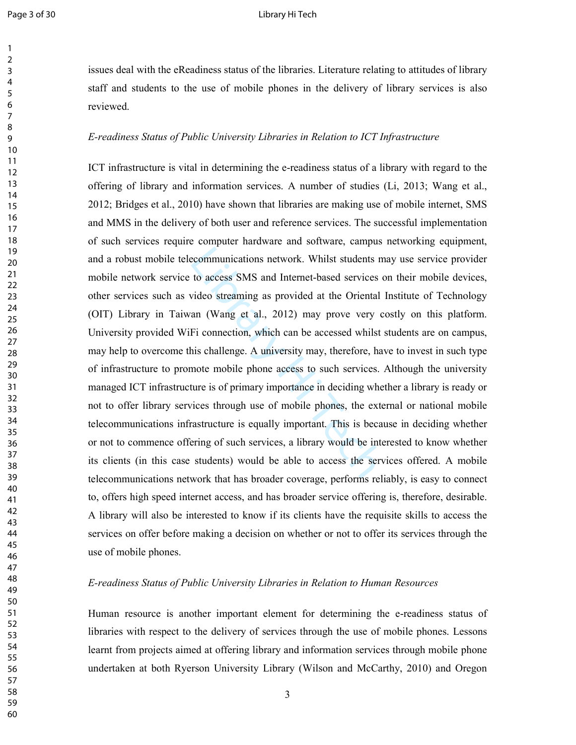# Page 3 of 30 Library Hi Tech

issues deal with the eReadiness status of the libraries. Literature relating to attitudes of library staff and students to the use of mobile phones in the delivery of library services is also reviewed.

### *E-readiness Status of Public University Libraries in Relation to ICT Infrastructure*

ecommunications network. Whilst students m<br>to access SMS and Internet-based services c<br>video streaming as provided at the Oriental 1<br>an (Wang et al., 2012) may prove very c<br>Fi connection, which can be accessed whilst s<br>nis ICT infrastructure is vital in determining the e-readiness status of a library with regard to the offering of library and information services. A number of studies (Li, 2013; Wang et al., 2012; Bridges et al., 2010) have shown that libraries are making use of mobile internet, SMS and MMS in the delivery of both user and reference services. The successful implementation of such services require computer hardware and software, campus networking equipment, and a robust mobile telecommunications network. Whilst students may use service provider mobile network service to access SMS and Internet-based services on their mobile devices, other services such as video streaming as provided at the Oriental Institute of Technology (OIT) Library in Taiwan (Wang et al., 2012) may prove very costly on this platform. University provided WiFi connection, which can be accessed whilst students are on campus, may help to overcome this challenge. A university may, therefore, have to invest in such type of infrastructure to promote mobile phone access to such services. Although the university managed ICT infrastructure is of primary importance in deciding whether a library is ready or not to offer library services through use of mobile phones, the external or national mobile telecommunications infrastructure is equally important. This is because in deciding whether or not to commence offering of such services, a library would be interested to know whether its clients (in this case students) would be able to access the services offered. A mobile telecommunications network that has broader coverage, performs reliably, is easy to connect to, offers high speed internet access, and has broader service offering is, therefore, desirable. A library will also be interested to know if its clients have the requisite skills to access the services on offer before making a decision on whether or not to offer its services through the use of mobile phones.

## *E-readiness Status of Public University Libraries in Relation to Human Resources*

Human resource is another important element for determining the e-readiness status of libraries with respect to the delivery of services through the use of mobile phones. Lessons learnt from projects aimed at offering library and information services through mobile phone undertaken at both Ryerson University Library (Wilson and McCarthy, 2010) and Oregon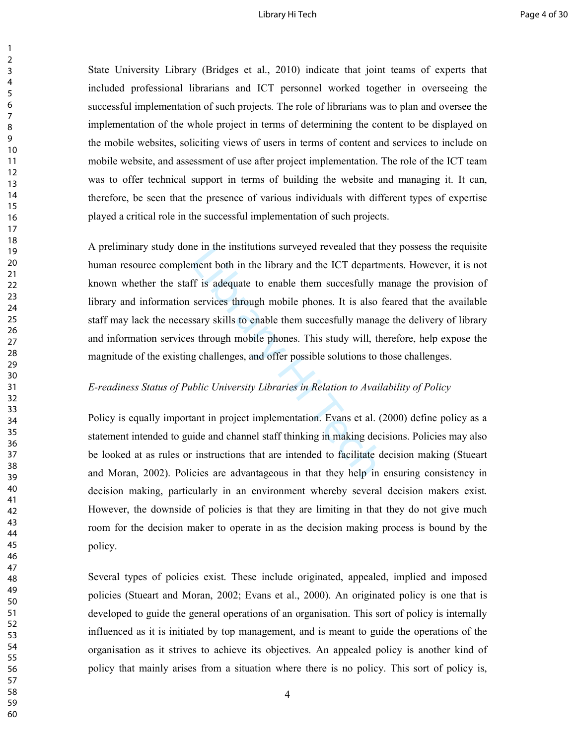## Library Hi Tech **Page 4 of 30**

State University Library (Bridges et al., 2010) indicate that joint teams of experts that included professional librarians and ICT personnel worked together in overseeing the successful implementation of such projects. The role of librarians was to plan and oversee the implementation of the whole project in terms of determining the content to be displayed on the mobile websites, soliciting views of users in terms of content and services to include on mobile website, and assessment of use after project implementation. The role of the ICT team was to offer technical support in terms of building the website and managing it. It can, therefore, be seen that the presence of various individuals with different types of expertise played a critical role in the successful implementation of such projects.

The in the institutions surveyed reveated that the ment both in the library and the ICT departm<br>ff is adequate to enable them succesfully m<br>services through mobile phones. It is also fisary skills to enable them succesfull A preliminary study done in the institutions surveyed revealed that they possess the requisite human resource complement both in the library and the ICT departments. However, it is not known whether the staff is adequate to enable them succesfully manage the provision of library and information services through mobile phones. It is also feared that the available staff may lack the necessary skills to enable them succesfully manage the delivery of library and information services through mobile phones. This study will, therefore, help expose the magnitude of the existing challenges, and offer possible solutions to those challenges.

# *E-readiness Status of Public University Libraries in Relation to Availability of Policy*

Policy is equally important in project implementation. Evans et al. (2000) define policy as a statement intended to guide and channel staff thinking in making decisions. Policies may also be looked at as rules or instructions that are intended to facilitate decision making (Stueart and Moran, 2002). Policies are advantageous in that they help in ensuring consistency in decision making, particularly in an environment whereby several decision makers exist. However, the downside of policies is that they are limiting in that they do not give much room for the decision maker to operate in as the decision making process is bound by the policy.

Several types of policies exist. These include originated, appealed, implied and imposed policies (Stueart and Moran, 2002; Evans et al., 2000). An originated policy is one that is developed to guide the general operations of an organisation. This sort of policy is internally influenced as it is initiated by top management, and is meant to guide the operations of the organisation as it strives to achieve its objectives. An appealed policy is another kind of policy that mainly arises from a situation where there is no policy. This sort of policy is,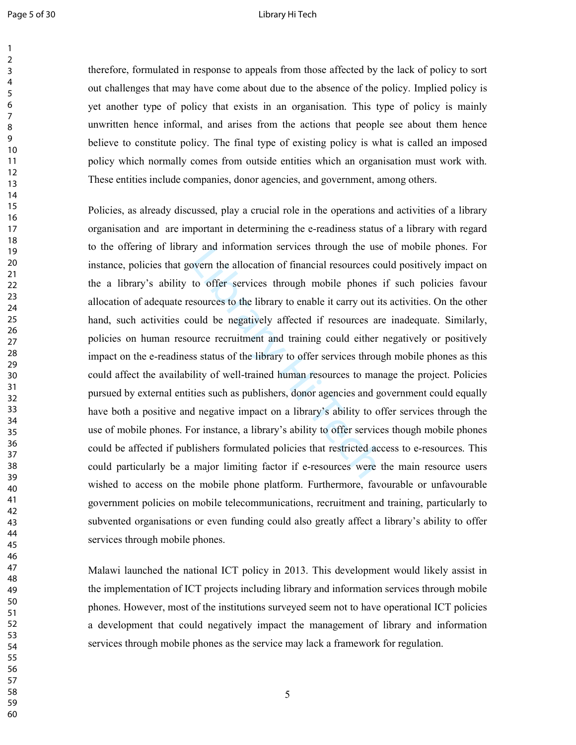## Page 5 of 30 Library Hi Tech

therefore, formulated in response to appeals from those affected by the lack of policy to sort out challenges that may have come about due to the absence of the policy. Implied policy is yet another type of policy that exists in an organisation. This type of policy is mainly unwritten hence informal, and arises from the actions that people see about them hence believe to constitute policy. The final type of existing policy is what is called an imposed policy which normally comes from outside entities which an organisation must work with. These entities include companies, donor agencies, and government, among others.

by and information services unough the use<br>overn the allocation of financial resources coto<br>to offer services through mobile phones is<br>sources to the library to enable it carry out its<br>build be negatively affected if resou Policies, as already discussed, play a crucial role in the operations and activities of a library organisation and are important in determining the e-readiness status of a library with regard to the offering of library and information services through the use of mobile phones. For instance, policies that govern the allocation of financial resources could positively impact on the a library's ability to offer services through mobile phones if such policies favour allocation of adequate resources to the library to enable it carry out its activities. On the other hand, such activities could be negatively affected if resources are inadequate. Similarly, policies on human resource recruitment and training could either negatively or positively impact on the e-readiness status of the library to offer services through mobile phones as this could affect the availability of well-trained human resources to manage the project. Policies pursued by external entities such as publishers, donor agencies and government could equally have both a positive and negative impact on a library's ability to offer services through the use of mobile phones. For instance, a library's ability to offer services though mobile phones could be affected if publishers formulated policies that restricted access to e-resources. This could particularly be a major limiting factor if e-resources were the main resource users wished to access on the mobile phone platform. Furthermore, favourable or unfavourable government policies on mobile telecommunications, recruitment and training, particularly to subvented organisations or even funding could also greatly affect a library's ability to offer services through mobile phones.

Malawi launched the national ICT policy in 2013. This development would likely assist in the implementation of ICT projects including library and information services through mobile phones. However, most of the institutions surveyed seem not to have operational ICT policies a development that could negatively impact the management of library and information services through mobile phones as the service may lack a framework for regulation.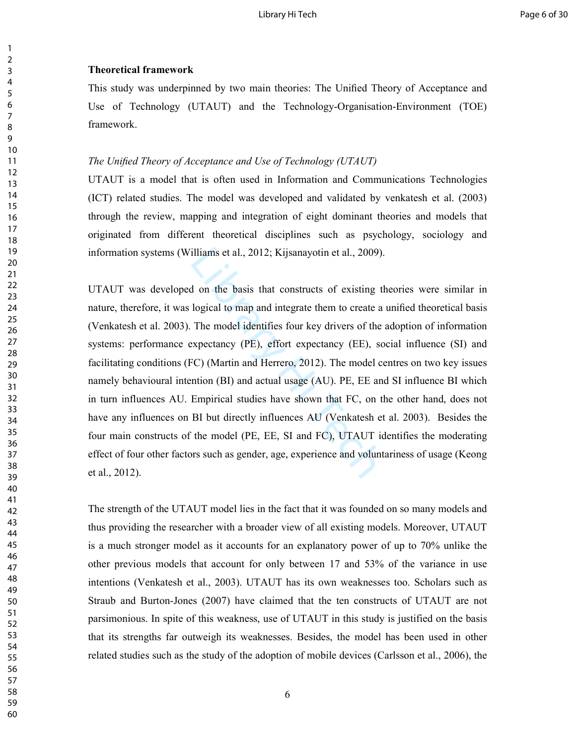# **Theoretical framework**

This study was underpinned by two main theories: The Unified Theory of Acceptance and Use of Technology (UTAUT) and the Technology-Organisation-Environment (TOE) framework.

# *The Unified Theory of Acceptance and Use of Technology (UTAUT)*

UTAUT is a model that is often used in Information and Communications Technologies (ICT) related studies. The model was developed and validated by venkatesh et al. (2003) through the review, mapping and integration of eight dominant theories and models that originated from different theoretical disciplines such as psychology, sociology and information systems (Williams et al., 2012; Kijsanayotin et al., 2009).

illiams et al., 2012; Kijsanayotin et al., 2009).<br>
1 on the basis that constructs of existing th<br>
logical to map and integrate them to create a<br>
The model identifies four key drivers of the a<br>
expectancy (PE), effort expec UTAUT was developed on the basis that constructs of existing theories were similar in nature, therefore, it was logical to map and integrate them to create a unified theoretical basis (Venkatesh et al. 2003). The model identifies four key drivers of the adoption of information systems: performance expectancy (PE), effort expectancy (EE), social influence (SI) and facilitating conditions (FC) (Martin and Herrero, 2012). The model centres on two key issues namely behavioural intention (BI) and actual usage (AU). PE, EE and SI influence BI which in turn influences AU. Empirical studies have shown that FC, on the other hand, does not have any influences on BI but directly influences AU (Venkatesh et al. 2003). Besides the four main constructs of the model (PE, EE, SI and FC), UTAUT identifies the moderating effect of four other factors such as gender, age, experience and voluntariness of usage (Keong et al., 2012).

The strength of the UTAUT model lies in the fact that it was founded on so many models and thus providing the researcher with a broader view of all existing models. Moreover, UTAUT is a much stronger model as it accounts for an explanatory power of up to 70% unlike the other previous models that account for only between 17 and 53% of the variance in use intentions (Venkatesh et al., 2003). UTAUT has its own weaknesses too. Scholars such as Straub and Burton-Jones (2007) have claimed that the ten constructs of UTAUT are not parsimonious. In spite of this weakness, use of UTAUT in this study is justified on the basis that its strengths far outweigh its weaknesses. Besides, the model has been used in other related studies such as the study of the adoption of mobile devices (Carlsson et al., 2006), the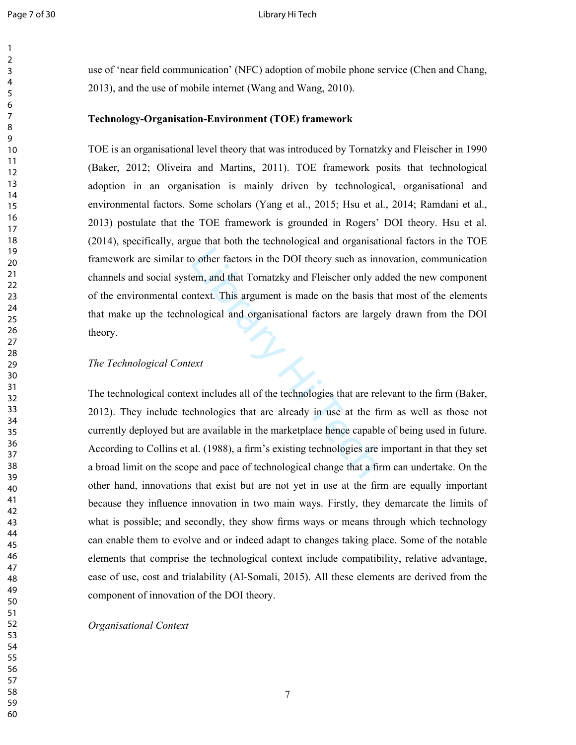### Page 7 of 30 Library Hi Tech

use of 'near field communication' (NFC) adoption of mobile phone service (Chen and Chang, 2013), and the use of mobile internet (Wang and Wang, 2010).

# **Technology-Organisation-Environment (TOE) framework**

o other factors in the DOI theory such as inno<br>
em, and that Tornatzky and Fleischer only ad-<br>
ntext. This argument is made on the basis the<br>
ological and organisational factors are largel<br>
ext<br>
ext<br>
xt includes all of the TOE is an organisational level theory that was introduced by Tornatzky and Fleischer in 1990 (Baker, 2012; Oliveira and Martins, 2011). TOE framework posits that technological adoption in an organisation is mainly driven by technological, organisational and environmental factors. Some scholars (Yang et al., 2015; Hsu et al., 2014; Ramdani et al., 2013) postulate that the TOE framework is grounded in Rogers' DOI theory. Hsu et al. (2014), specifically, argue that both the technological and organisational factors in the TOE framework are similar to other factors in the DOI theory such as innovation, communication channels and social system, and that Tornatzky and Fleischer only added the new component of the environmental context. This argument is made on the basis that most of the elements that make up the technological and organisational factors are largely drawn from the DOI theory.

# *The Technological Context*

The technological context includes all of the technologies that are relevant to the firm (Baker, 2012). They include technologies that are already in use at the firm as well as those not currently deployed but are available in the marketplace hence capable of being used in future. According to Collins et al. (1988), a firm's existing technologies are important in that they set a broad limit on the scope and pace of technological change that a firm can undertake. On the other hand, innovations that exist but are not yet in use at the firm are equally important because they influence innovation in two main ways. Firstly, they demarcate the limits of what is possible; and secondly, they show firms ways or means through which technology can enable them to evolve and or indeed adapt to changes taking place. Some of the notable elements that comprise the technological context include compatibility, relative advantage, ease of use, cost and trialability (Al-Somali, 2015). All these elements are derived from the component of innovation of the DOI theory.

*Organisational Context*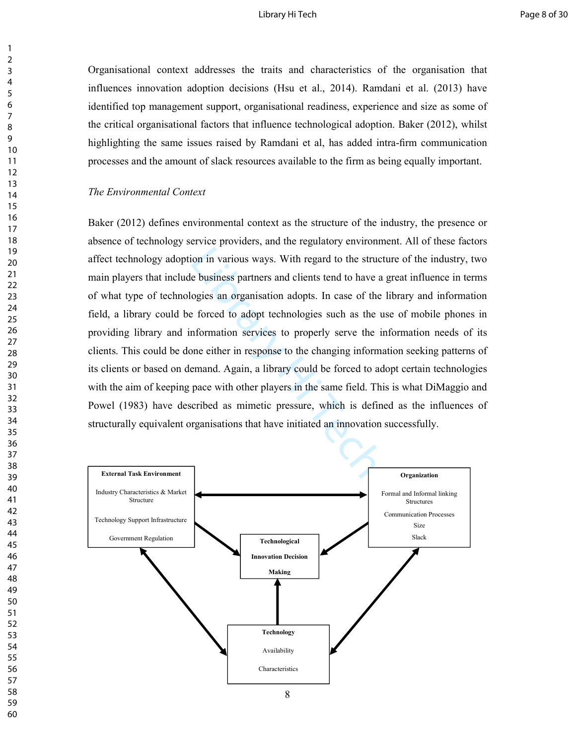#### Library Hi Tech Page 8 of 30

Organisational context addresses the traits and characteristics of the organisation that influences innovation adoption decisions (Hsu et al., 2014). Ramdani et al. (2013) have identified top management support, organisational readiness, experience and size as some of the critical organisational factors that influence technological adoption. Baker (2012), whilst highlighting the same issues raised by Ramdani et al, has added intra-firm communication processes and the amount of slack resources available to the firm as being equally important.

# *The Environmental Context*

ion in various ways. With regard to the struct<br>e business partners and clients tend to have a<br>ogies an organisation adopts. In case of the<br>e forced to adopt technologies such as the u<br>information services to properly serve Baker (2012) defines environmental context as the structure of the industry, the presence or absence of technology service providers, and the regulatory environment. All of these factors affect technology adoption in various ways. With regard to the structure of the industry, two main players that include business partners and clients tend to have a great influence in terms of what type of technologies an organisation adopts. In case of the library and information field, a library could be forced to adopt technologies such as the use of mobile phones in providing library and information services to properly serve the information needs of its clients. This could be done either in response to the changing information seeking patterns of its clients or based on demand. Again, a library could be forced to adopt certain technologies with the aim of keeping pace with other players in the same field. This is what DiMaggio and Powel (1983) have described as mimetic pressure, which is defined as the influences of structurally equivalent organisations that have initiated an innovation successfully.

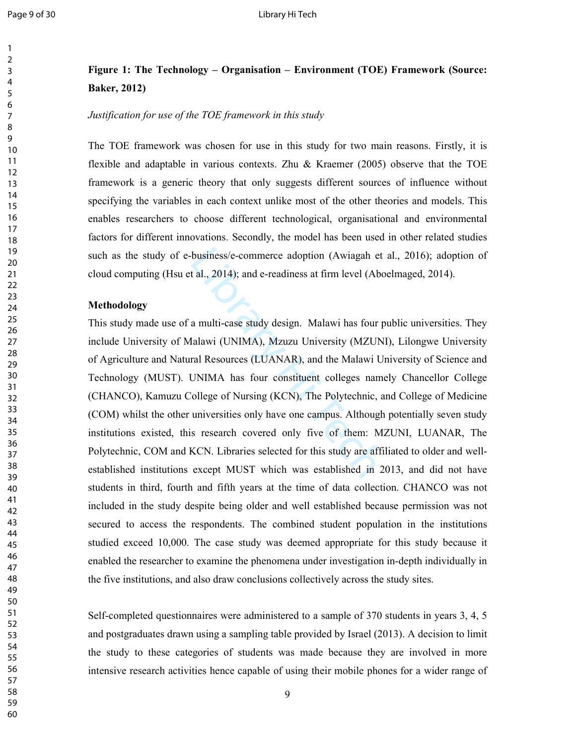## Page 9 of 30 Library Hi Tech

# **Figure 1: The Technology – Organisation – Environment (TOE) Framework (Source: Baker, 2012)**

# *Justification for use of the TOE framework in this study*

The TOE framework was chosen for use in this study for two main reasons. Firstly, it is flexible and adaptable in various contexts. Zhu  $\&$  Kraemer (2005) observe that the TOE framework is a generic theory that only suggests different sources of influence without specifying the variables in each context unlike most of the other theories and models. This enables researchers to choose different technological, organisational and environmental factors for different innovations. Secondly, the model has been used in other related studies such as the study of e-business/e-commerce adoption (Awiagah et al., 2016); adoption of cloud computing (Hsu et al., 2014); and e-readiness at firm level (Aboelmaged, 2014).

#### **Methodology**

business/e-commerce adoption (Awiagah et tal., 2014); and e-readiness at firm level (Abo<br>a multi-case study design. Malawi has four p<br>a multi-case study design. Malawi has four p<br>falawi (UNIMA), Mzuzu University (MZUN:<br>ral This study made use of a multi-case study design. Malawi has four public universities. They include University of Malawi (UNIMA), Mzuzu University (MZUNI), Lilongwe University of Agriculture and Natural Resources (LUANAR), and the Malawi University of Science and Technology (MUST). UNIMA has four constituent colleges namely Chancellor College (CHANCO), Kamuzu College of Nursing (KCN), The Polytechnic, and College of Medicine (COM) whilst the other universities only have one campus. Although potentially seven study institutions existed, this research covered only five of them: MZUNI, LUANAR, The Polytechnic, COM and KCN. Libraries selected for this study are affiliated to older and wellestablished institutions except MUST which was established in 2013, and did not have students in third, fourth and fifth years at the time of data collection. CHANCO was not included in the study despite being older and well established because permission was not secured to access the respondents. The combined student population in the institutions studied exceed 10,000. The case study was deemed appropriate for this study because it enabled the researcher to examine the phenomena under investigation in-depth individually in the five institutions, and also draw conclusions collectively across the study sites.

Self-completed questionnaires were administered to a sample of 370 students in years 3, 4, 5 and postgraduates drawn using a sampling table provided by Israel (2013). A decision to limit the study to these categories of students was made because they are involved in more intensive research activities hence capable of using their mobile phones for a wider range of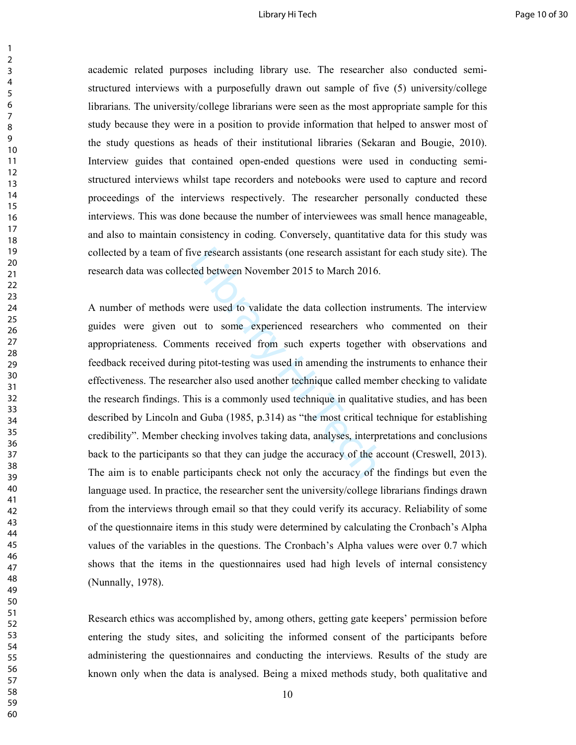## Library Hi Tech **Page 10 of 30**

academic related purposes including library use. The researcher also conducted semistructured interviews with a purposefully drawn out sample of five (5) university/college librarians. The university/college librarians were seen as the most appropriate sample for this study because they were in a position to provide information that helped to answer most of the study questions as heads of their institutional libraries (Sekaran and Bougie, 2010). Interview guides that contained open-ended questions were used in conducting semistructured interviews whilst tape recorders and notebooks were used to capture and record proceedings of the interviews respectively. The researcher personally conducted these interviews. This was done because the number of interviewees was small hence manageable, and also to maintain consistency in coding. Conversely, quantitative data for this study was collected by a team of five research assistants (one research assistant for each study site). The research data was collected between November 2015 to March 2016.

ve research assistants (one research assistant 1<br>ted between November 2015 to March 2016.<br>were used to validate the data collection inst<br>at to some experienced researchers who<br>ents received from such experts together<br>g pit A number of methods were used to validate the data collection instruments. The interview guides were given out to some experienced researchers who commented on their appropriateness. Comments received from such experts together with observations and feedback received during pitot-testing was used in amending the instruments to enhance their effectiveness. The researcher also used another technique called member checking to validate the research findings. This is a commonly used technique in qualitative studies, and has been described by Lincoln and Guba (1985, p.314) as "the most critical technique for establishing credibility". Member checking involves taking data, analyses, interpretations and conclusions back to the participants so that they can judge the accuracy of the account (Creswell, 2013). The aim is to enable participants check not only the accuracy of the findings but even the language used. In practice, the researcher sent the university/college librarians findings drawn from the interviews through email so that they could verify its accuracy. Reliability of some of the questionnaire items in this study were determined by calculating the Cronbach's Alpha values of the variables in the questions. The Cronbach's Alpha values were over 0.7 which shows that the items in the questionnaires used had high levels of internal consistency (Nunnally, 1978).

Research ethics was accomplished by, among others, getting gate keepers' permission before entering the study sites, and soliciting the informed consent of the participants before administering the questionnaires and conducting the interviews. Results of the study are known only when the data is analysed. Being a mixed methods study, both qualitative and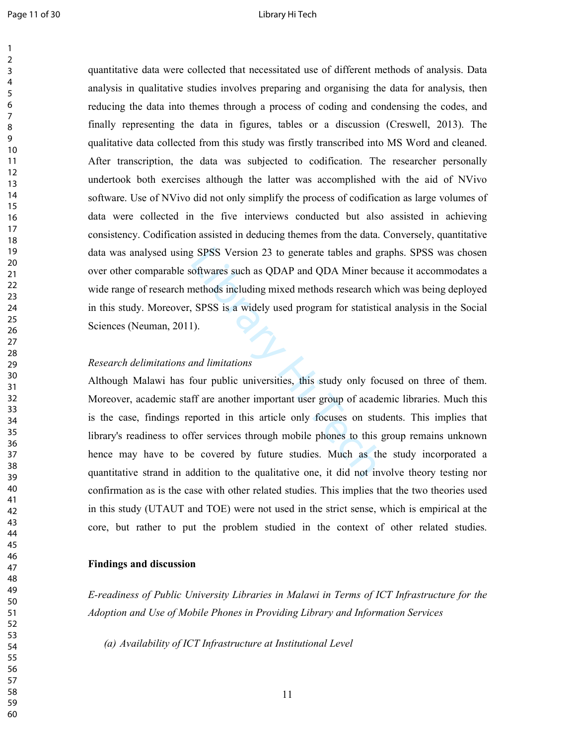#### Page 11 of 30 **Page 11 of 30** Library Hi Tech

quantitative data were collected that necessitated use of different methods of analysis. Data analysis in qualitative studies involves preparing and organising the data for analysis, then reducing the data into themes through a process of coding and condensing the codes, and finally representing the data in figures, tables or a discussion (Creswell, 2013). The qualitative data collected from this study was firstly transcribed into MS Word and cleaned. After transcription, the data was subjected to codification. The researcher personally undertook both exercises although the latter was accomplished with the aid of NVivo software. Use of NVivo did not only simplify the process of codification as large volumes of data were collected in the five interviews conducted but also assisted in achieving consistency. Codification assisted in deducing themes from the data. Conversely, quantitative data was analysed using SPSS Version 23 to generate tables and graphs. SPSS was chosen over other comparable softwares such as QDAP and QDA Miner because it accommodates a wide range of research methods including mixed methods research which was being deployed in this study. Moreover, SPSS is a widely used program for statistical analysis in the Social Sciences (Neuman, 2011).

# *Research delimitations and limitations*

Example 3 SPSS Version 23 to generate tables and grapht<br>oftwares such as QDAP and QDA Miner bec<br>methods including mixed methods research wh<br>SPSS is a widely used program for statistica<br>(1).<br>*and limitations*<br>four public un Although Malawi has four public universities, this study only focused on three of them. Moreover, academic staff are another important user group of academic libraries. Much this is the case, findings reported in this article only focuses on students. This implies that library's readiness to offer services through mobile phones to this group remains unknown hence may have to be covered by future studies. Much as the study incorporated a quantitative strand in addition to the qualitative one, it did not involve theory testing nor confirmation as is the case with other related studies. This implies that the two theories used in this study (UTAUT and TOE) were not used in the strict sense, which is empirical at the core, but rather to put the problem studied in the context of other related studies.

#### **Findings and discussion**

*E-readiness of Public University Libraries in Malawi in Terms of ICT Infrastructure for the Adoption and Use of Mobile Phones in Providing Library and Information Services* 

*(a) Availability of ICT Infrastructure at Institutional Level*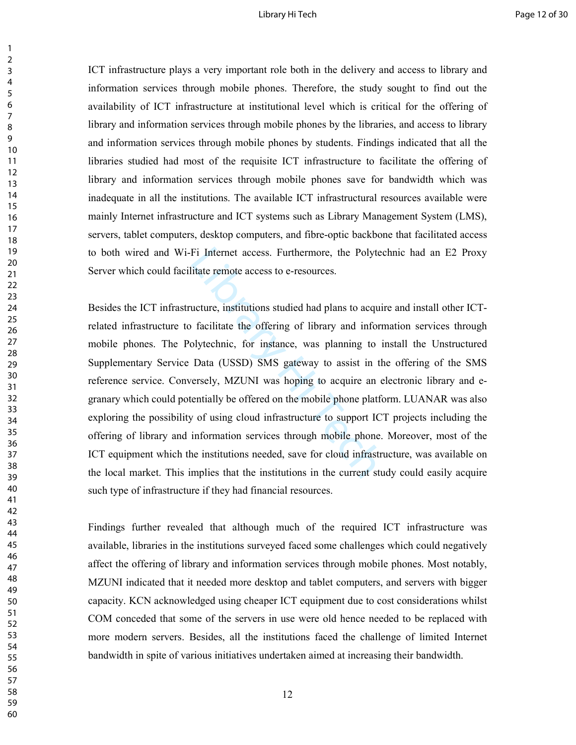#### Library Hi Tech Page 12 of 30

ICT infrastructure plays a very important role both in the delivery and access to library and information services through mobile phones. Therefore, the study sought to find out the availability of ICT infrastructure at institutional level which is critical for the offering of library and information services through mobile phones by the libraries, and access to library and information services through mobile phones by students. Findings indicated that all the libraries studied had most of the requisite ICT infrastructure to facilitate the offering of library and information services through mobile phones save for bandwidth which was inadequate in all the institutions. The available ICT infrastructural resources available were mainly Internet infrastructure and ICT systems such as Library Management System (LMS), servers, tablet computers, desktop computers, and fibre-optic backbone that facilitated access to both wired and Wi-Fi Internet access. Furthermore, the Polytechnic had an E2 Proxy Server which could facilitate remote access to e-resources.

Fi Internet access. Furthermore, the Polytec<br>litate remote access to e-resources.<br>ucture, institutions studied had plans to acquin<br>facilitate the offering of library and inform<br>olytechnic, for instance, was planning to in<br> Besides the ICT infrastructure, institutions studied had plans to acquire and install other ICTrelated infrastructure to facilitate the offering of library and information services through mobile phones. The Polytechnic, for instance, was planning to install the Unstructured Supplementary Service Data (USSD) SMS gateway to assist in the offering of the SMS reference service. Conversely, MZUNI was hoping to acquire an electronic library and egranary which could potentially be offered on the mobile phone platform. LUANAR was also exploring the possibility of using cloud infrastructure to support ICT projects including the offering of library and information services through mobile phone. Moreover, most of the ICT equipment which the institutions needed, save for cloud infrastructure, was available on the local market. This implies that the institutions in the current study could easily acquire such type of infrastructure if they had financial resources.

Findings further revealed that although much of the required ICT infrastructure was available, libraries in the institutions surveyed faced some challenges which could negatively affect the offering of library and information services through mobile phones. Most notably, MZUNI indicated that it needed more desktop and tablet computers, and servers with bigger capacity. KCN acknowledged using cheaper ICT equipment due to cost considerations whilst COM conceded that some of the servers in use were old hence needed to be replaced with more modern servers. Besides, all the institutions faced the challenge of limited Internet bandwidth in spite of various initiatives undertaken aimed at increasing their bandwidth.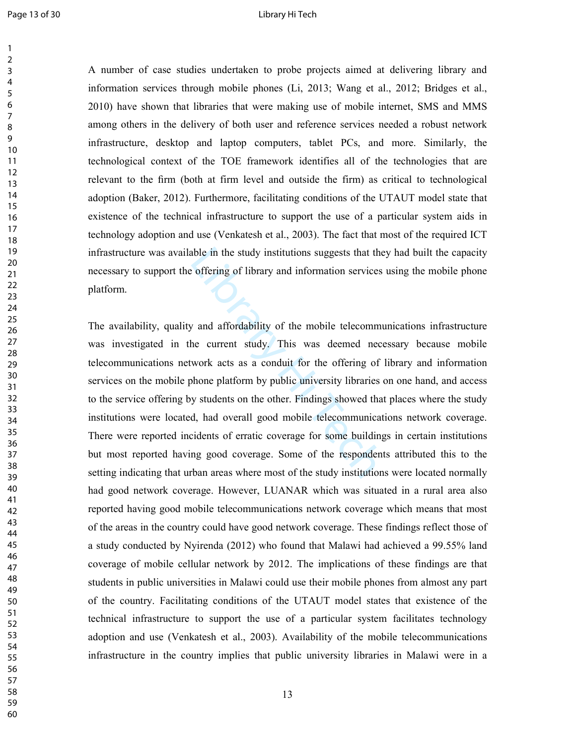#### Page 13 of 30 **Page 13** of 30

A number of case studies undertaken to probe projects aimed at delivering library and information services through mobile phones (Li, 2013; Wang et al., 2012; Bridges et al., 2010) have shown that libraries that were making use of mobile internet, SMS and MMS among others in the delivery of both user and reference services needed a robust network infrastructure, desktop and laptop computers, tablet PCs, and more. Similarly, the technological context of the TOE framework identifies all of the technologies that are relevant to the firm (both at firm level and outside the firm) as critical to technological adoption (Baker, 2012). Furthermore, facilitating conditions of the UTAUT model state that existence of the technical infrastructure to support the use of a particular system aids in technology adoption and use (Venkatesh et al., 2003). The fact that most of the required ICT infrastructure was available in the study institutions suggests that they had built the capacity necessary to support the offering of library and information services using the mobile phone platform.

able in the study institutions suggests that the<br>offering of library and information services<br>offering of library and information services<br>and affordability of the mobile telecommu<br>he current study. This was deemed nece<br>wo The availability, quality and affordability of the mobile telecommunications infrastructure was investigated in the current study. This was deemed necessary because mobile telecommunications network acts as a conduit for the offering of library and information services on the mobile phone platform by public university libraries on one hand, and access to the service offering by students on the other. Findings showed that places where the study institutions were located, had overall good mobile telecommunications network coverage. There were reported incidents of erratic coverage for some buildings in certain institutions but most reported having good coverage. Some of the respondents attributed this to the setting indicating that urban areas where most of the study institutions were located normally had good network coverage. However, LUANAR which was situated in a rural area also reported having good mobile telecommunications network coverage which means that most of the areas in the country could have good network coverage. These findings reflect those of a study conducted by Nyirenda (2012) who found that Malawi had achieved a 99.55% land coverage of mobile cellular network by 2012. The implications of these findings are that students in public universities in Malawi could use their mobile phones from almost any part of the country. Facilitating conditions of the UTAUT model states that existence of the technical infrastructure to support the use of a particular system facilitates technology adoption and use (Venkatesh et al., 2003). Availability of the mobile telecommunications infrastructure in the country implies that public university libraries in Malawi were in a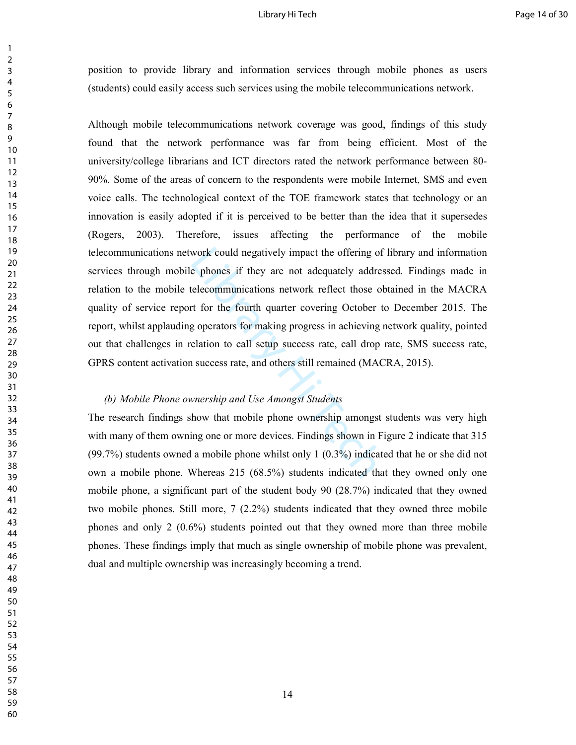## Library Hi Tech **Page 14 of 30**

position to provide library and information services through mobile phones as users (students) could easily access such services using the mobile telecommunications network.

work could negatively impact the offering of<br>e phones if they are not adequately addres<br>telecommunications network reflect those ob-<br>t for the fourth quarter covering October to<br>g operators for making progress in achieving Although mobile telecommunications network coverage was good, findings of this study found that the network performance was far from being efficient. Most of the university/college librarians and ICT directors rated the network performance between 80- 90%. Some of the areas of concern to the respondents were mobile Internet, SMS and even voice calls. The technological context of the TOE framework states that technology or an innovation is easily adopted if it is perceived to be better than the idea that it supersedes (Rogers, 2003). Therefore, issues affecting the performance of the mobile telecommunications network could negatively impact the offering of library and information services through mobile phones if they are not adequately addressed. Findings made in relation to the mobile telecommunications network reflect those obtained in the MACRA quality of service report for the fourth quarter covering October to December 2015. The report, whilst applauding operators for making progress in achieving network quality, pointed out that challenges in relation to call setup success rate, call drop rate, SMS success rate, GPRS content activation success rate, and others still remained (MACRA, 2015).

# *(b) Mobile Phone ownership and Use Amongst Students*

The research findings show that mobile phone ownership amongst students was very high with many of them owning one or more devices. Findings shown in Figure 2 indicate that 315 (99.7%) students owned a mobile phone whilst only 1 (0.3%) indicated that he or she did not own a mobile phone. Whereas 215 (68.5%) students indicated that they owned only one mobile phone, a significant part of the student body 90 (28.7%) indicated that they owned two mobile phones. Still more, 7 (2.2%) students indicated that they owned three mobile phones and only 2 (0.6%) students pointed out that they owned more than three mobile phones. These findings imply that much as single ownership of mobile phone was prevalent, dual and multiple ownership was increasingly becoming a trend.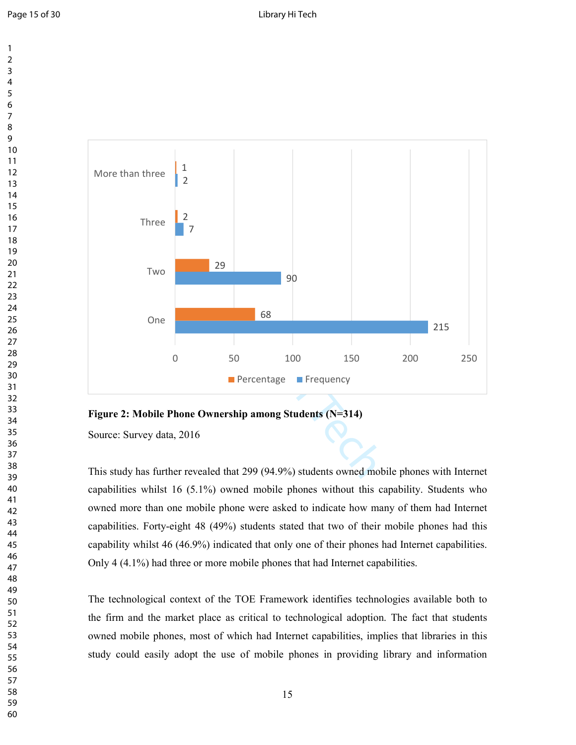

# **Figure 2: Mobile Phone Ownership among Students (N=314)**

Source: Survey data, 2016

This study has further revealed that 299 (94.9%) students owned mobile phones with Internet capabilities whilst 16 (5.1%) owned mobile phones without this capability. Students who owned more than one mobile phone were asked to indicate how many of them had Internet capabilities. Forty-eight 48 (49%) students stated that two of their mobile phones had this capability whilst 46 (46.9%) indicated that only one of their phones had Internet capabilities. Only 4 (4.1%) had three or more mobile phones that had Internet capabilities.

The technological context of the TOE Framework identifies technologies available both to the firm and the market place as critical to technological adoption. The fact that students owned mobile phones, most of which had Internet capabilities, implies that libraries in this study could easily adopt the use of mobile phones in providing library and information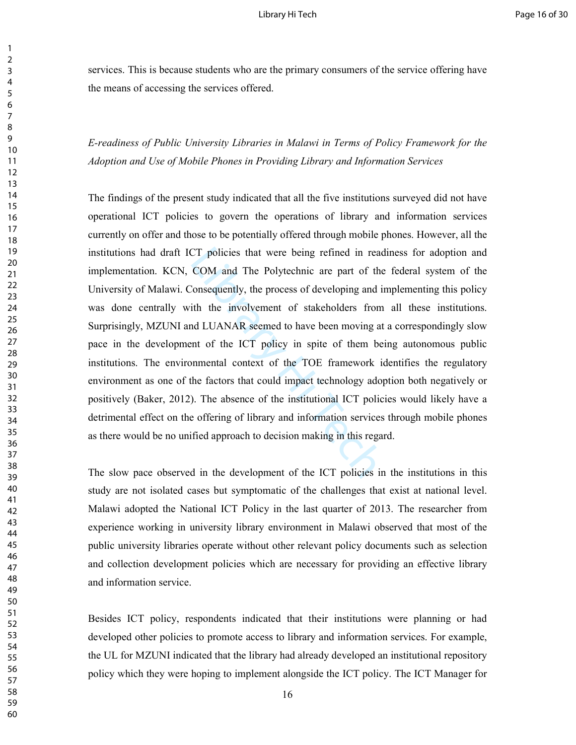services. This is because students who are the primary consumers of the service offering have the means of accessing the services offered.

# *E-readiness of Public University Libraries in Malawi in Terms of Policy Framework for the Adoption and Use of Mobile Phones in Providing Library and Information Services*

CT policies that were being refined in read<br>COM and The Polytechnic are part of the<br>lonsequently, the process of developing and in<br>tith the involvement of stakeholders from<br>nd LUANAR seemed to have been moving at<br>ant of th The findings of the present study indicated that all the five institutions surveyed did not have operational ICT policies to govern the operations of library and information services currently on offer and those to be potentially offered through mobile phones. However, all the institutions had draft ICT policies that were being refined in readiness for adoption and implementation. KCN, COM and The Polytechnic are part of the federal system of the University of Malawi. Consequently, the process of developing and implementing this policy was done centrally with the involvement of stakeholders from all these institutions. Surprisingly, MZUNI and LUANAR seemed to have been moving at a correspondingly slow pace in the development of the ICT policy in spite of them being autonomous public institutions. The environmental context of the TOE framework identifies the regulatory environment as one of the factors that could impact technology adoption both negatively or positively (Baker, 2012). The absence of the institutional ICT policies would likely have a detrimental effect on the offering of library and information services through mobile phones as there would be no unified approach to decision making in this regard.

The slow pace observed in the development of the ICT policies in the institutions in this study are not isolated cases but symptomatic of the challenges that exist at national level. Malawi adopted the National ICT Policy in the last quarter of 2013. The researcher from experience working in university library environment in Malawi observed that most of the public university libraries operate without other relevant policy documents such as selection and collection development policies which are necessary for providing an effective library and information service.

Besides ICT policy, respondents indicated that their institutions were planning or had developed other policies to promote access to library and information services. For example, the UL for MZUNI indicated that the library had already developed an institutional repository policy which they were hoping to implement alongside the ICT policy. The ICT Manager for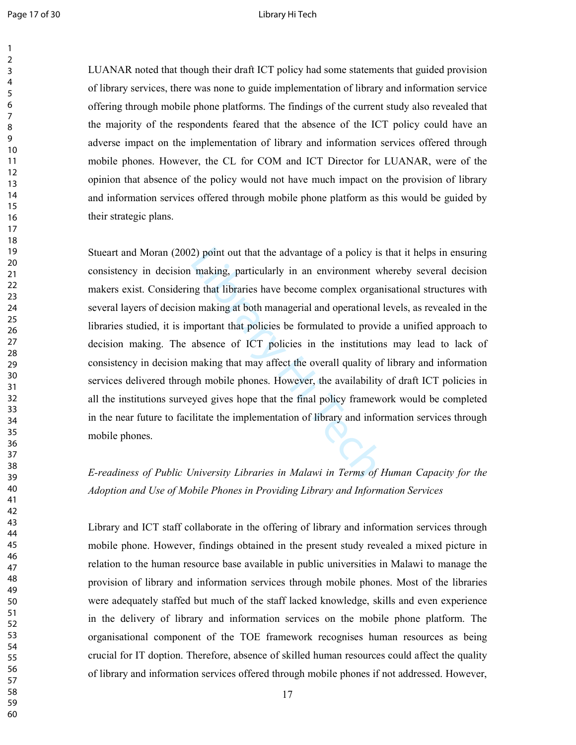#### Page 17 of 30 Library Hi Tech

LUANAR noted that though their draft ICT policy had some statements that guided provision of library services, there was none to guide implementation of library and information service offering through mobile phone platforms. The findings of the current study also revealed that the majority of the respondents feared that the absence of the ICT policy could have an adverse impact on the implementation of library and information services offered through mobile phones. However, the CL for COM and ICT Director for LUANAR, were of the opinion that absence of the policy would not have much impact on the provision of library and information services offered through mobile phone platform as this would be guided by their strategic plans.

2) point out that the advantage of a policy is<br>making, particularly in an environment wh<br>ng that libraries have become complex organi<br>n making at both managerial and operational 1<br>aportant that policies be formulated to pr Stueart and Moran (2002) point out that the advantage of a policy is that it helps in ensuring consistency in decision making, particularly in an environment whereby several decision makers exist. Considering that libraries have become complex organisational structures with several layers of decision making at both managerial and operational levels, as revealed in the libraries studied, it is important that policies be formulated to provide a unified approach to decision making. The absence of ICT policies in the institutions may lead to lack of consistency in decision making that may affect the overall quality of library and information services delivered through mobile phones. However, the availability of draft ICT policies in all the institutions surveyed gives hope that the final policy framework would be completed in the near future to facilitate the implementation of library and information services through mobile phones.

*E-readiness of Public University Libraries in Malawi in Terms of Human Capacity for the Adoption and Use of Mobile Phones in Providing Library and Information Services* 

Library and ICT staff collaborate in the offering of library and information services through mobile phone. However, findings obtained in the present study revealed a mixed picture in relation to the human resource base available in public universities in Malawi to manage the provision of library and information services through mobile phones. Most of the libraries were adequately staffed but much of the staff lacked knowledge, skills and even experience in the delivery of library and information services on the mobile phone platform. The organisational component of the TOE framework recognises human resources as being crucial for IT doption. Therefore, absence of skilled human resources could affect the quality of library and information services offered through mobile phones if not addressed. However,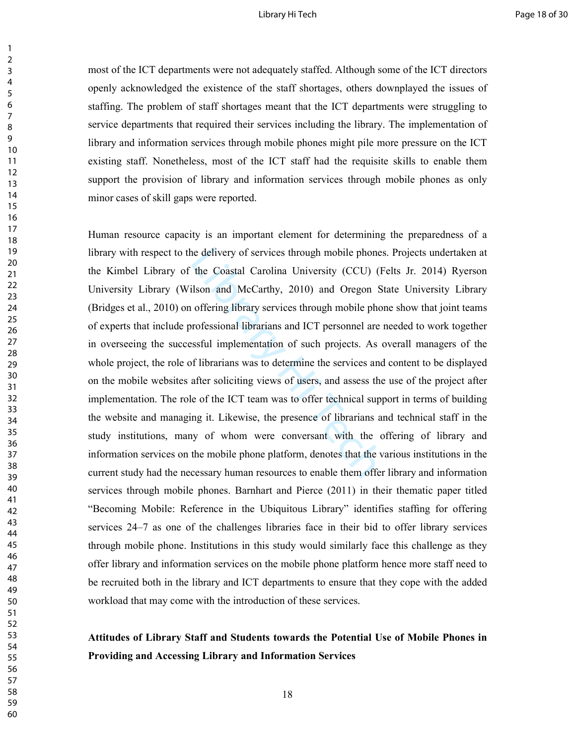# Library Hi Tech **Page 18 of 30**

most of the ICT departments were not adequately staffed. Although some of the ICT directors openly acknowledged the existence of the staff shortages, others downplayed the issues of staffing. The problem of staff shortages meant that the ICT departments were struggling to service departments that required their services including the library. The implementation of library and information services through mobile phones might pile more pressure on the ICT existing staff. Nonetheless, most of the ICT staff had the requisite skills to enable them support the provision of library and information services through mobile phones as only minor cases of skill gaps were reported.

ne delivery of services through mobile phones<br>the Coastal Carolina University (CCU) (F<br>ilson and McCarthy, 2010) and Oregon St<br>offering library services through mobile phor<br>rofessional librarians and ICT personnel are r<br>ss Human resource capacity is an important element for determining the preparedness of a library with respect to the delivery of services through mobile phones. Projects undertaken at the Kimbel Library of the Coastal Carolina University (CCU) (Felts Jr. 2014) Ryerson University Library (Wilson and McCarthy, 2010) and Oregon State University Library (Bridges et al., 2010) on offering library services through mobile phone show that joint teams of experts that include professional librarians and ICT personnel are needed to work together in overseeing the successful implementation of such projects. As overall managers of the whole project, the role of librarians was to determine the services and content to be displayed on the mobile websites after soliciting views of users, and assess the use of the project after implementation. The role of the ICT team was to offer technical support in terms of building the website and managing it. Likewise, the presence of librarians and technical staff in the study institutions, many of whom were conversant with the offering of library and information services on the mobile phone platform, denotes that the various institutions in the current study had the necessary human resources to enable them offer library and information services through mobile phones. Barnhart and Pierce (2011) in their thematic paper titled "Becoming Mobile: Reference in the Ubiquitous Library" identifies staffing for offering services 24–7 as one of the challenges libraries face in their bid to offer library services through mobile phone. Institutions in this study would similarly face this challenge as they offer library and information services on the mobile phone platform hence more staff need to be recruited both in the library and ICT departments to ensure that they cope with the added workload that may come with the introduction of these services.

# **Attitudes of Library Staff and Students towards the Potential Use of Mobile Phones in Providing and Accessing Library and Information Services**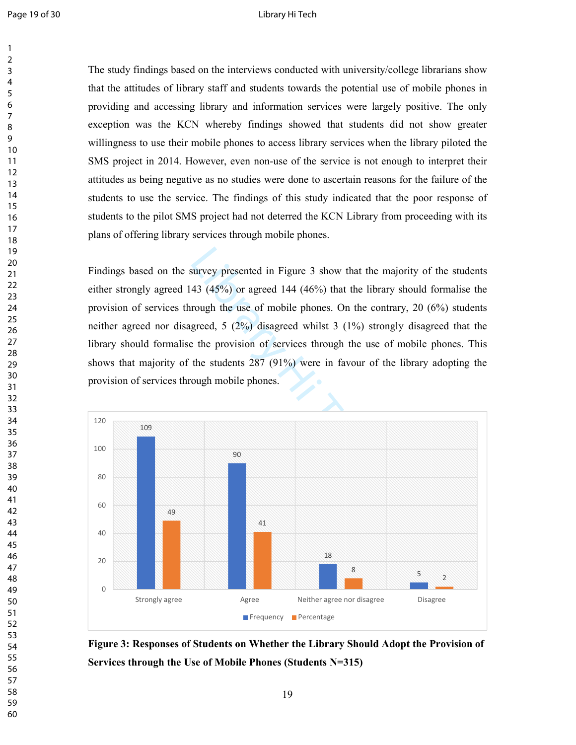### Page 19 of 30 Library Hi Tech

The study findings based on the interviews conducted with university/college librarians show that the attitudes of library staff and students towards the potential use of mobile phones in providing and accessing library and information services were largely positive. The only exception was the KCN whereby findings showed that students did not show greater willingness to use their mobile phones to access library services when the library piloted the SMS project in 2014. However, even non-use of the service is not enough to interpret their attitudes as being negative as no studies were done to ascertain reasons for the failure of the students to use the service. The findings of this study indicated that the poor response of students to the pilot SMS project had not deterred the KCN Library from proceeding with its plans of offering library services through mobile phones.

survey presented in Figure 3 show that the r<br>43 (45%) or agreed 144 (46%) that the libra<br>rough the use of mobile phones. On the con<br>greed, 5 (2%) disagreed whilst 3 (1%) strone<br>the provision of services through the use of<br> Findings based on the survey presented in Figure 3 show that the majority of the students either strongly agreed 143 (45%) or agreed 144 (46%) that the library should formalise the provision of services through the use of mobile phones. On the contrary, 20 (6%) students neither agreed nor disagreed, 5 (2%) disagreed whilst 3 (1%) strongly disagreed that the library should formalise the provision of services through the use of mobile phones. This shows that majority of the students 287 (91%) were in favour of the library adopting the provision of services through mobile phones.



**Figure 3: Responses of Students on Whether the Library Should Adopt the Provision of Services through the Use of Mobile Phones (Students N=315)**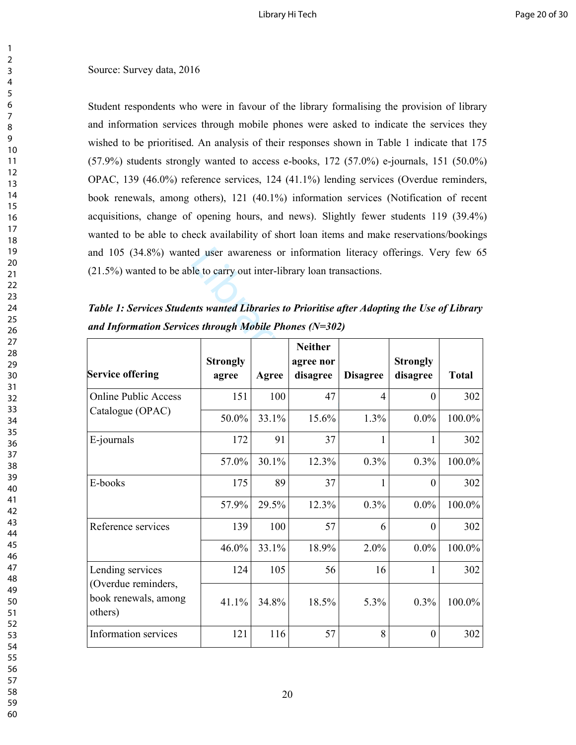Student respondents who were in favour of the library formalising the provision of library and information services through mobile phones were asked to indicate the services they wished to be prioritised. An analysis of their responses shown in Table 1 indicate that 175 (57.9%) students strongly wanted to access e-books, 172 (57.0%) e-journals, 151 (50.0%) OPAC, 139 (46.0%) reference services, 124 (41.1%) lending services (Overdue reminders, book renewals, among others), 121 (40.1%) information services (Notification of recent acquisitions, change of opening hours, and news). Slightly fewer students 119 (39.4%) wanted to be able to check availability of short loan items and make reservations/bookings and 105 (34.8%) wanted user awareness or information literacy offerings. Very few 65 (21.5%) wanted to be able to carry out inter-library loan transactions.

*Table 1: Services Students wanted Libraries to Prioritise after Adopting the Use of Library and Information Services through Mobile Phones (N=302)* 

| and 105 (34.8%) wanted user awareness or information literacy offerings. Very few 6:        |                          |       |                                         |                 |                             |              |  |  |
|---------------------------------------------------------------------------------------------|--------------------------|-------|-----------------------------------------|-----------------|-----------------------------|--------------|--|--|
| (21.5%) wanted to be able to carry out inter-library loan transactions.                     |                          |       |                                         |                 |                             |              |  |  |
|                                                                                             |                          |       |                                         |                 |                             |              |  |  |
| Table 1: Services Students wanted Libraries to Prioritise after Adopting the Use of Library |                          |       |                                         |                 |                             |              |  |  |
| and Information Services through Mobile Phones (N=302)                                      |                          |       |                                         |                 |                             |              |  |  |
| <b>Service offering</b>                                                                     | <b>Strongly</b><br>agree | Agree | <b>Neither</b><br>agree nor<br>disagree | <b>Disagree</b> | <b>Strongly</b><br>disagree | <b>Total</b> |  |  |
| <b>Online Public Access</b><br>Catalogue (OPAC)                                             | 151                      | 100   | 47                                      | $\overline{4}$  | $\overline{0}$              | 302          |  |  |
|                                                                                             | 50.0%                    | 33.1% | 15.6%                                   | 1.3%            | $0.0\%$                     | 100.0%       |  |  |
| E-journals                                                                                  | 172                      | 91    | 37                                      | 1               | 1                           | 302          |  |  |
|                                                                                             | 57.0%                    | 30.1% | 12.3%                                   | 0.3%            | 0.3%                        | 100.0%       |  |  |
| E-books                                                                                     | 175                      | 89    | 37                                      | 1               | $\overline{0}$              | 302          |  |  |
|                                                                                             | 57.9%                    | 29.5% | 12.3%                                   | 0.3%            | $0.0\%$                     | 100.0%       |  |  |
| Reference services                                                                          | 139                      | 100   | 57                                      | 6               | $\overline{0}$              | 302          |  |  |
|                                                                                             | 46.0%                    | 33.1% | 18.9%                                   | 2.0%            | $0.0\%$                     | 100.0%       |  |  |
| Lending services<br>(Overdue reminders,<br>book renewals, among<br>others)                  | 124                      | 105   | 56                                      | 16              | 1                           | 302          |  |  |
|                                                                                             | 41.1%                    | 34.8% | 18.5%                                   | 5.3%            | 0.3%                        | 100.0%       |  |  |
| Information services                                                                        | 121                      | 116   | 57                                      | 8               | $\overline{0}$              | 302          |  |  |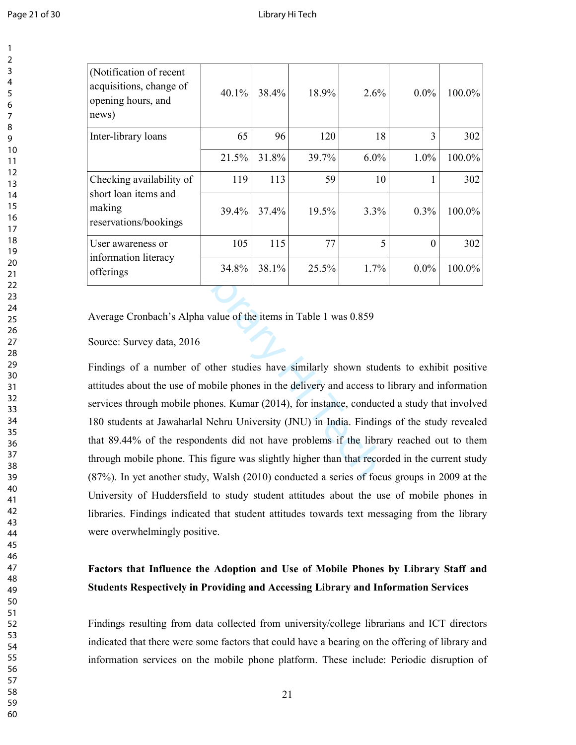| (Notification of recent)<br>acquisitions, change of<br>opening hours, and<br>news)  | 40.1% | 38.4% | 18.9% | 2.6% | $0.0\%$ | $100.0\%$ |
|-------------------------------------------------------------------------------------|-------|-------|-------|------|---------|-----------|
| Inter-library loans                                                                 | 65    | 96    | 120   | 18   | 3       | 302       |
|                                                                                     | 21.5% | 31.8% | 39.7% | 6.0% | $1.0\%$ | 100.0%    |
| Checking availability of<br>short loan items and<br>making<br>reservations/bookings | 119   | 113   | 59    | 10   |         | 302       |
|                                                                                     | 39.4% | 37.4% | 19.5% | 3.3% | 0.3%    | 100.0%    |
| User awareness or<br>information literacy<br>offerings                              | 105   | 115   | 77    | 5    | 0       | 302       |
|                                                                                     | 34.8% | 38.1% | 25.5% | 1.7% | $0.0\%$ | 100.0%    |

Average Cronbach's Alpha value of the items in Table 1 was 0.859

Source: Survey data, 2016

34.8% 38.1% 25.5% 1.7%<br>
bha value of the items in Table 1 was 0.859<br>
16<br>
of other studies have similarly shown stude<br>
f mobile phones in the delivery and access to<br>
phones. Kumar (2014), for instance, conduct<br>
tal Nehru U Findings of a number of other studies have similarly shown students to exhibit positive attitudes about the use of mobile phones in the delivery and access to library and information services through mobile phones. Kumar (2014), for instance, conducted a study that involved 180 students at Jawaharlal Nehru University (JNU) in India. Findings of the study revealed that 89.44% of the respondents did not have problems if the library reached out to them through mobile phone. This figure was slightly higher than that recorded in the current study (87%). In yet another study, Walsh (2010) conducted a series of focus groups in 2009 at the University of Huddersfield to study student attitudes about the use of mobile phones in libraries. Findings indicated that student attitudes towards text messaging from the library were overwhelmingly positive.

# **Factors that Influence the Adoption and Use of Mobile Phones by Library Staff and Students Respectively in Providing and Accessing Library and Information Services**

Findings resulting from data collected from university/college librarians and ICT directors indicated that there were some factors that could have a bearing on the offering of library and information services on the mobile phone platform. These include: Periodic disruption of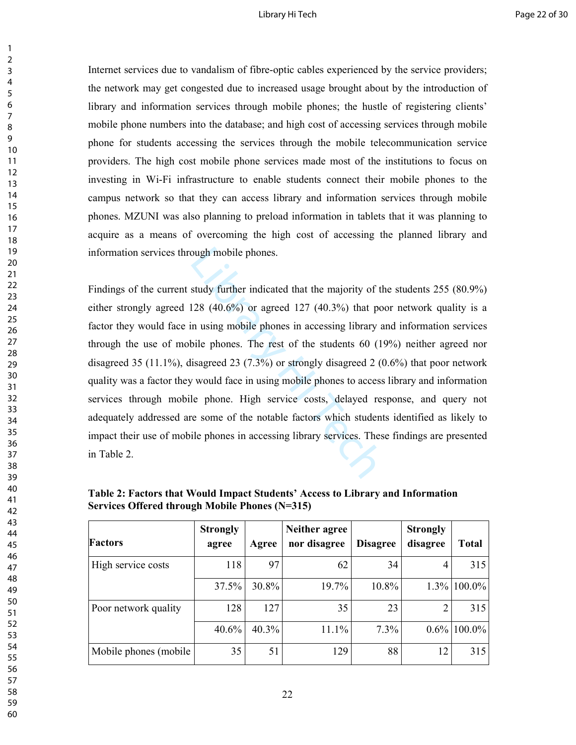# Library Hi Tech **Page 22 of 30**

Internet services due to vandalism of fibre-optic cables experienced by the service providers; the network may get congested due to increased usage brought about by the introduction of library and information services through mobile phones; the hustle of registering clients' mobile phone numbers into the database; and high cost of accessing services through mobile phone for students accessing the services through the mobile telecommunication service providers. The high cost mobile phone services made most of the institutions to focus on investing in Wi-Fi infrastructure to enable students connect their mobile phones to the campus network so that they can access library and information services through mobile phones. MZUNI was also planning to preload information in tablets that it was planning to acquire as a means of overcoming the high cost of accessing the planned library and information services through mobile phones.

ough mobile phones.<br>
study further indicated that the majority of th<br>
128 (40.6%) or agreed 127 (40.3%) that poor<br>
in using mobile phones in accessing library a<br>
bile phones. The rest of the students 60 (19<br>
isagreed 23 (7 Findings of the current study further indicated that the majority of the students 255 (80.9%) either strongly agreed 128 (40.6%) or agreed 127 (40.3%) that poor network quality is a factor they would face in using mobile phones in accessing library and information services through the use of mobile phones. The rest of the students 60 (19%) neither agreed nor disagreed 35 (11.1%), disagreed 23 (7.3%) or strongly disagreed 2 (0.6%) that poor network quality was a factor they would face in using mobile phones to access library and information services through mobile phone. High service costs, delayed response, and query not adequately addressed are some of the notable factors which students identified as likely to impact their use of mobile phones in accessing library services. These findings are presented in Table 2.

| <b>Factors</b>        | <b>Strongly</b><br>agree | Agree | Neither agree<br>nor disagree | <b>Disagree</b> | <b>Strongly</b><br>disagree | <b>Total</b>   |
|-----------------------|--------------------------|-------|-------------------------------|-----------------|-----------------------------|----------------|
| High service costs    | 118                      | 97    | 62                            | 34              | 4                           | 315            |
|                       | 37.5%                    | 30.8% | 19.7%                         | 10.8%           |                             | $1.3\%$ 100.0% |
| Poor network quality  | 128                      | 127   | 35                            | 23              | $\overline{c}$              | 315            |
|                       | 40.6%                    | 40.3% | 11.1%                         | 7.3%            |                             | $0.6\%$ 100.0% |
| Mobile phones (mobile | 35                       | 51    | 129                           | 88              | 12                          | 315            |

**Table 2: Factors that Would Impact Students' Access to Library and Information Services Offered through Mobile Phones (N=315)**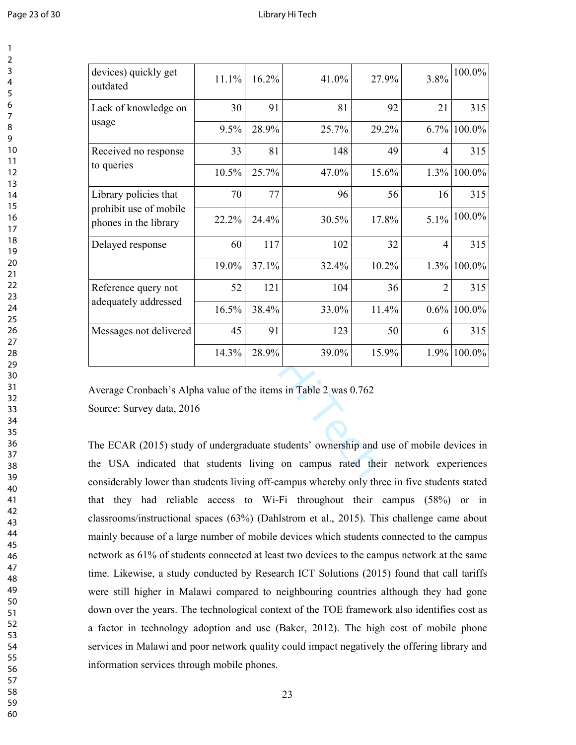# Page 23 of 30 **Disk Contract Contract Contract Contract Contract Contract Contract Contract Contract Contract Contract Contract Contract Contract Contract Contract Contract Contract Contract Contract Contract Contract Cont**

| devices) quickly get<br>outdated                                                                  | 11.1% | 16.2% | 41.0% | 27.9% | 3.8%           | 100.0%         |
|---------------------------------------------------------------------------------------------------|-------|-------|-------|-------|----------------|----------------|
| Lack of knowledge on<br>usage                                                                     | 30    | 91    | 81    | 92    | 21             | 315            |
|                                                                                                   | 9.5%  | 28.9% | 25.7% | 29.2% |                | $6.7\%$ 100.0% |
| Received no response                                                                              | 33    | 81    | 148   | 49    | $\overline{4}$ | 315            |
| to queries                                                                                        | 10.5% | 25.7% | 47.0% | 15.6% |                | $1.3\%$ 100.0% |
| Library policies that                                                                             | 70    | 77    | 96    | 56    | 16             | 315            |
| prohibit use of mobile<br>phones in the library                                                   | 22.2% | 24.4% | 30.5% | 17.8% | 5.1%           | 100.0%         |
| Delayed response                                                                                  | 60    | 117   | 102   | 32    | $\overline{4}$ | 315            |
|                                                                                                   | 19.0% | 37.1% | 32.4% | 10.2% |                | $1.3\%$ 100.0% |
| Reference query not<br>adequately addressed                                                       | 52    | 121   | 104   | 36    | $\overline{2}$ | 315            |
|                                                                                                   | 16.5% | 38.4% | 33.0% | 11.4% |                | $0.6\%$ 100.0% |
| Messages not delivered                                                                            | 45    | 91    | 123   | 50    | 6              | 315            |
|                                                                                                   | 14.3% | 28.9% | 39.0% | 15.9% |                | $1.9\%$ 100.0% |
| Average Cronbach's Alpha value of the items in Table 2 was 0.762<br>Source: Survey data, 2016     |       |       |       |       |                |                |
| The ECAR (2015) study of undergraduate students' ownership and use of mobile devices in           |       |       |       |       |                |                |
| the USA indicated that students living on campus rated their network experiences<br>$\sim$ $\sim$ |       |       |       |       |                |                |

The ECAR (2015) study of undergraduate students' ownership and use of mobile devices in the USA indicated that students living on campus rated their network experiences considerably lower than students living off-campus whereby only three in five students stated that they had reliable access to Wi-Fi throughout their campus (58%) or in classrooms/instructional spaces (63%) (Dahlstrom et al., 2015). This challenge came about mainly because of a large number of mobile devices which students connected to the campus network as 61% of students connected at least two devices to the campus network at the same time. Likewise, a study conducted by Research ICT Solutions (2015) found that call tariffs were still higher in Malawi compared to neighbouring countries although they had gone down over the years. The technological context of the TOE framework also identifies cost as a factor in technology adoption and use (Baker, 2012). The high cost of mobile phone services in Malawi and poor network quality could impact negatively the offering library and information services through mobile phones.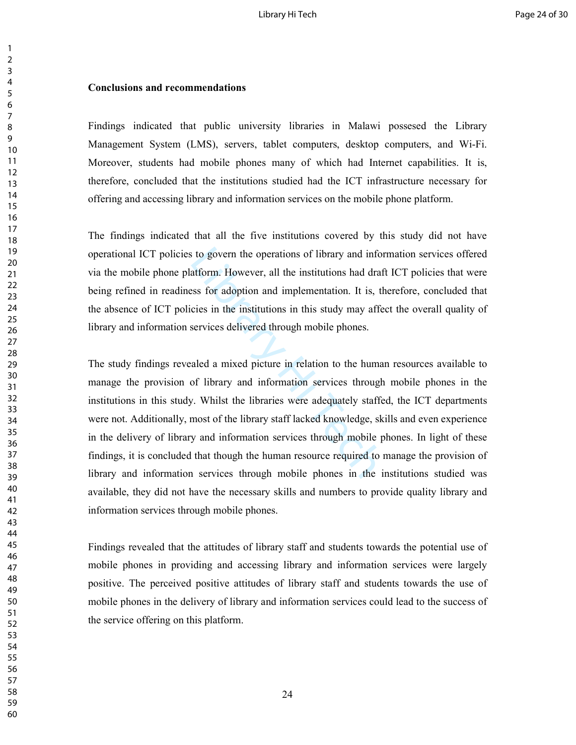## **Conclusions and recommendations**

Findings indicated that public university libraries in Malawi possesed the Library Management System (LMS), servers, tablet computers, desktop computers, and Wi-Fi. Moreover, students had mobile phones many of which had Internet capabilities. It is, therefore, concluded that the institutions studied had the ICT infrastructure necessary for offering and accessing library and information services on the mobile phone platform.

The findings indicated that all the five institutions covered by this study did not have operational ICT policies to govern the operations of library and information services offered via the mobile phone platform. However, all the institutions had draft ICT policies that were being refined in readiness for adoption and implementation. It is, therefore, concluded that the absence of ICT policies in the institutions in this study may affect the overall quality of library and information services delivered through mobile phones.

If the operations of library and information. However, all the institutions had draft<br>signs for adoption and implementation. It is, the<br>cies in the institutions in this study may afferency<br>contractions in this study may af The study findings revealed a mixed picture in relation to the human resources available to manage the provision of library and information services through mobile phones in the institutions in this study. Whilst the libraries were adequately staffed, the ICT departments were not. Additionally, most of the library staff lacked knowledge, skills and even experience in the delivery of library and information services through mobile phones. In light of these findings, it is concluded that though the human resource required to manage the provision of library and information services through mobile phones in the institutions studied was available, they did not have the necessary skills and numbers to provide quality library and information services through mobile phones.

Findings revealed that the attitudes of library staff and students towards the potential use of mobile phones in providing and accessing library and information services were largely positive. The perceived positive attitudes of library staff and students towards the use of mobile phones in the delivery of library and information services could lead to the success of the service offering on this platform.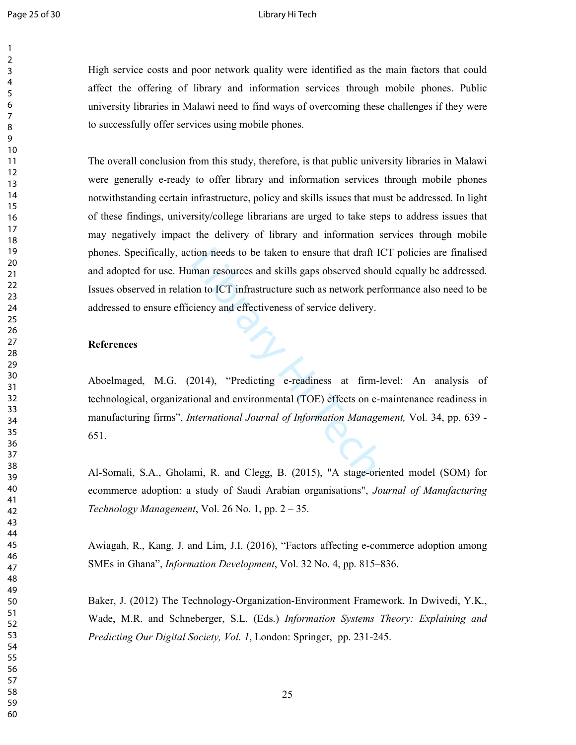#### Page 25 of 30 **Page 25** of 30

High service costs and poor network quality were identified as the main factors that could affect the offering of library and information services through mobile phones. Public university libraries in Malawi need to find ways of overcoming these challenges if they were to successfully offer services using mobile phones.

The overall conclusion from this study, therefore, is that public university libraries in Malawi were generally e-ready to offer library and information services through mobile phones notwithstanding certain infrastructure, policy and skills issues that must be addressed. In light of these findings, university/college librarians are urged to take steps to address issues that may negatively impact the delivery of library and information services through mobile phones. Specifically, action needs to be taken to ensure that draft ICT policies are finalised and adopted for use. Human resources and skills gaps observed should equally be addressed. Issues observed in relation to ICT infrastructure such as network performance also need to be addressed to ensure efficiency and effectiveness of service delivery.

## **References**

tion needs to be taken to ensure that draft IC<br>man resources and skills gaps observed shoul<br>on to ICT infrastructure such as network perfe<br>iency and effectiveness of service delivery.<br>2014), "Predicting e-readiness at firm Aboelmaged, M.G. (2014), "Predicting e-readiness at firm-level: An analysis of technological, organizational and environmental (TOE) effects on e-maintenance readiness in manufacturing firms", *International Journal of Information Management,* Vol. 34, pp. 639 - 651.

Al-Somali, S.A., Gholami, R. and Clegg, B. (2015), "A stage-oriented model (SOM) for ecommerce adoption: a study of Saudi Arabian organisations", *Journal of Manufacturing Technology Management*, Vol. 26 No. 1, pp. 2 – 35.

Awiagah, R., Kang, J. and Lim, J.I. (2016), "Factors affecting e-commerce adoption among SMEs in Ghana", *Information Development*, Vol. 32 No. 4, pp. 815–836.

Baker, J. (2012) The Technology-Organization-Environment Framework. In Dwivedi, Y.K., Wade, M.R. and Schneberger, S.L. (Eds.) *Information Systems Theory: Explaining and Predicting Our Digital Society, Vol. 1*, London: Springer, pp. 231-245.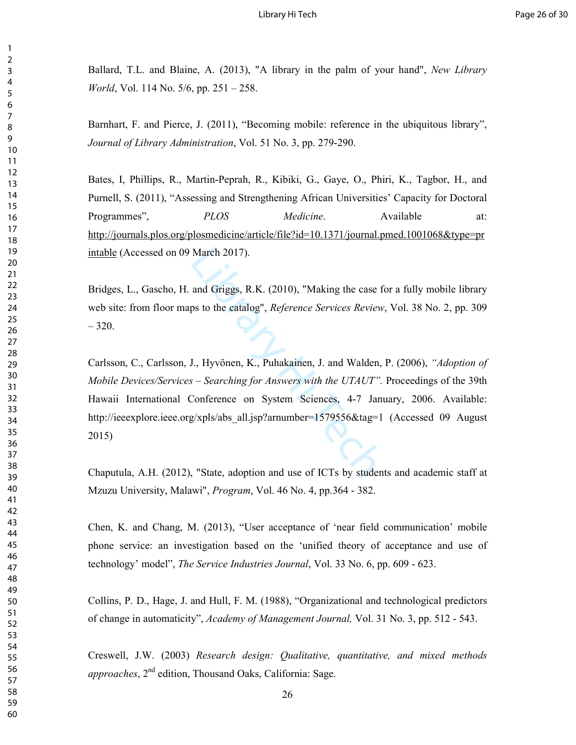Ballard, T.L. and Blaine, A. (2013), "A library in the palm of your hand", *New Library World*, Vol. 114 No. 5/6, pp. 251 – 258.

Barnhart, F. and Pierce, J. (2011), "Becoming mobile: reference in the ubiquitous library", *Journal of Library Administration*, Vol. 51 No. 3, pp. 279-290.

Bates, I, Phillips, R., Martin-Peprah, R., Kibiki, G., Gaye, O., Phiri, K., Tagbor, H., and Purnell, S. (2011), "Assessing and Strengthening African Universities' Capacity for Doctoral Programmes", *PLOS Medicine*. Available at: http://journals.plos.org/plosmedicine/article/file?id=10.1371/journal.pmed.1001068&type=pr intable (Accessed on 09 March 2017).

Bridges, L., Gascho, H. and Griggs, R.K. (2010), "Making the case for a fully mobile library web site: from floor maps to the catalog", *Reference Services Review*, Vol. 38 No. 2, pp. 309 – 320.

March 2017).<br>
and Griggs, R.K. (2010), "Making the case for<br>
ps to the catalog", *Reference Services Review*,<br>
J., Hyvönen, K., Puhakainen, J. and Walden,<br>
5 – *Searching for Answers with the UTAUT"*.<br>
Conference on System Carlsson, C., Carlsson, J., Hyvönen, K., Puhakainen, J. and Walden, P. (2006), *"Adoption of Mobile Devices/Services – Searching for Answers with the UTAUT".* Proceedings of the 39th Hawaii International Conference on System Sciences, 4-7 January, 2006. Available: http://ieeexplore.ieee.org/xpls/abs\_all.jsp?arnumber=1579556&tag=1 (Accessed 09 August 2015)

Chaputula, A.H. (2012), "State, adoption and use of ICTs by students and academic staff at Mzuzu University, Malawi", *Program*, Vol. 46 No. 4, pp.364 - 382.

Chen, K. and Chang, M. (2013), "User acceptance of 'near field communication' mobile phone service: an investigation based on the 'unified theory of acceptance and use of technology' model", *The Service Industries Journal*, Vol. 33 No. 6, pp. 609 - 623.

Collins, P. D., Hage, J. and Hull, F. M. (1988), "Organizational and technological predictors of change in automaticity", *Academy of Management Journal,* Vol. 31 No. 3, pp. 512 - 543.

Creswell, J.W. (2003) *Research design: Qualitative, quantitative, and mixed methods approaches*, 2nd edition, Thousand Oaks, California: Sage.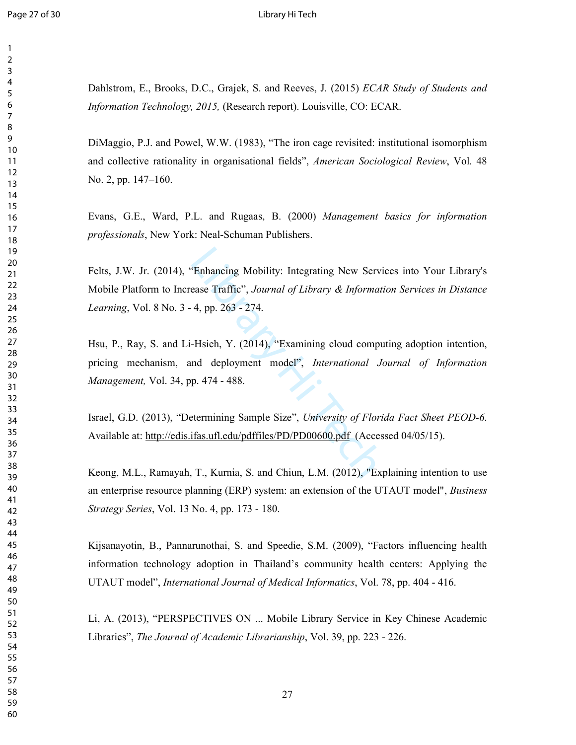Dahlstrom, E., Brooks, D.C., Grajek, S. and Reeves, J. (2015) *ECAR Study of Students and Information Technology, 2015,* (Research report). Louisville, CO: ECAR.

DiMaggio, P.J. and Powel, W.W. (1983), "The iron cage revisited: institutional isomorphism and collective rationality in organisational fields", *American Sociological Review*, Vol. 48 No. 2, pp. 147–160.

Evans, G.E., Ward, P.L. and Rugaas, B. (2000) *Management basics for information professionals*, New York: Neal-Schuman Publishers.

Enhancing Mobility: Integrating New Service<br>
ease Traffic", Journal of Library & Informati<br>
4, pp. 263 - 274.<br>
Hsieh, Y. (2014), "Examining cloud compund<br>
deployment model", *International Journal Ac*<br>
p. 474 - 488.<br>
term Felts, J.W. Jr. (2014), "Enhancing Mobility: Integrating New Services into Your Library's Mobile Platform to Increase Traffic", *Journal of Library & Information Services in Distance Learning*, Vol. 8 No. 3 - 4, pp. 263 - 274.

Hsu, P., Ray, S. and Li-Hsieh, Y. (2014), "Examining cloud computing adoption intention, pricing mechanism, and deployment model", *International Journal of Information Management,* Vol. 34, pp. 474 - 488.

Israel, G.D. (2013), "Determining Sample Size", *University of Florida Fact Sheet PEOD-6*. Available at: http://edis.ifas.ufl.edu/pdffiles/PD/PD00600.pdf (Accessed 04/05/15).

Keong, M.L., Ramayah, T., Kurnia, S. and Chiun, L.M. (2012), "Explaining intention to use an enterprise resource planning (ERP) system: an extension of the UTAUT model", *Business Strategy Series*, Vol. 13 No. 4, pp. 173 - 180.

Kijsanayotin, B., Pannarunothai, S. and Speedie, S.M. (2009), "Factors influencing health information technology adoption in Thailand's community health centers: Applying the UTAUT model", *International Journal of Medical Informatics*, Vol. 78, pp. 404 - 416.

Li, A. (2013), "PERSPECTIVES ON ... Mobile Library Service in Key Chinese Academic Libraries", *The Journal of Academic Librarianship*, Vol. 39, pp. 223 - 226.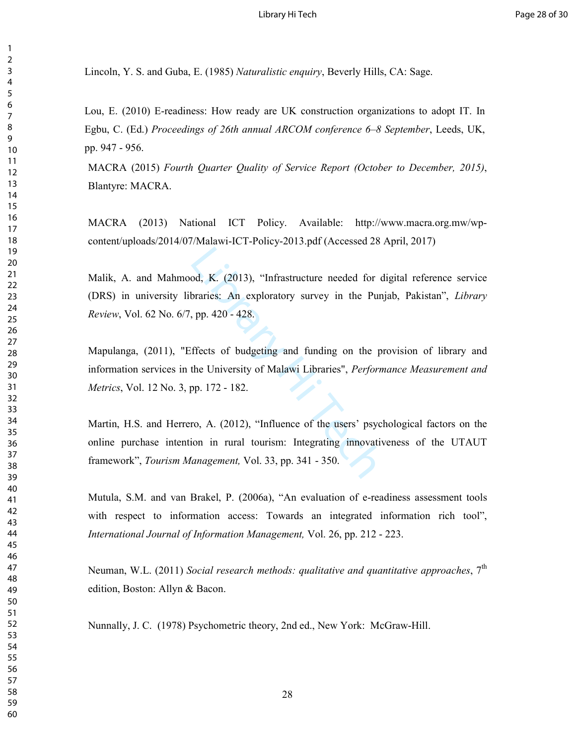Lincoln, Y. S. and Guba, E. (1985) *Naturalistic enquiry*, Beverly Hills, CA: Sage.

Lou, E. (2010) E-readiness: How ready are UK construction organizations to adopt IT. In Egbu, C. (Ed.) *Proceedings of 26th annual ARCOM conference 6–8 September*, Leeds, UK, pp. 947 - 956.

MACRA (2015) *Fourth Quarter Quality of Service Report (October to December, 2015)*, Blantyre: MACRA.

MACRA (2013) National ICT Policy. Available: http://www.macra.org.mw/wpcontent/uploads/2014/07/Malawi-ICT-Policy-2013.pdf (Accessed 28 April, 2017)

Malik, A. and Mahmood, K. (2013), "Infrastructure needed for digital reference service (DRS) in university libraries: An exploratory survey in the Punjab, Pakistan", *Library Review*, Vol. 62 No. 6/7, pp. 420 - 428.

Mapulanga, (2011), "Effects of budgeting and funding on the provision of library and information services in the University of Malawi Libraries", *Performance Measurement and Metrics*, Vol. 12 No. 3, pp. 172 - 182.

od, K. (2013), "Infrastructure needed for d<br>braries: An exploratory survey in the Punj<br>, pp. 420 - 428.<br>ffects of budgeting and funding on the pr<br>the University of Malawi Libraries", *Perform*<br>pp. 172 - 182.<br>ro, A. (2012), Martin, H.S. and Herrero, A. (2012), "Influence of the users' psychological factors on the online purchase intention in rural tourism: Integrating innovativeness of the UTAUT framework", *Tourism Management,* Vol. 33, pp. 341 - 350.

Mutula, S.M. and van Brakel, P. (2006a), "An evaluation of e-readiness assessment tools with respect to information access: Towards an integrated information rich tool", *International Journal of Information Management,* Vol. 26, pp. 212 - 223.

Neuman, W.L. (2011) *Social research methods: qualitative and quantitative approaches*, 7<sup>th</sup> edition, Boston: Allyn & Bacon.

Nunnally, J. C. (1978) Psychometric theory, 2nd ed., New York: McGraw-Hill.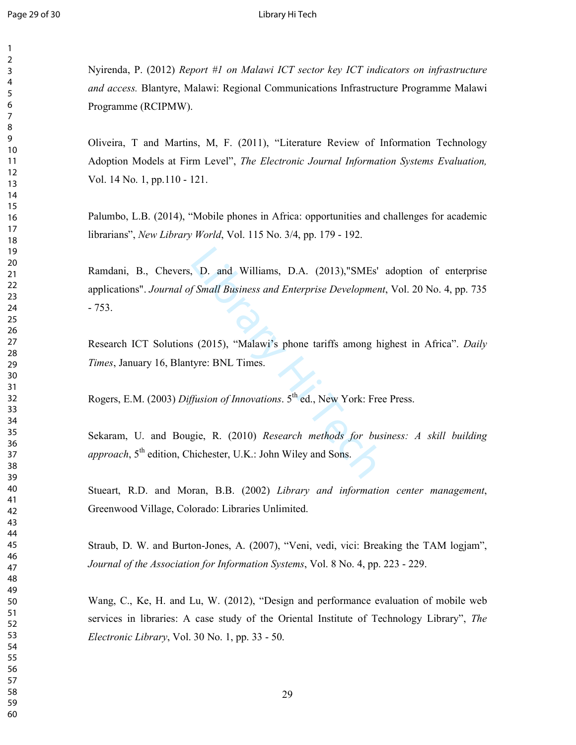Nyirenda, P. (2012) *Report #1 on Malawi ICT sector key ICT indicators on infrastructure and access.* Blantyre, Malawi: Regional Communications Infrastructure Programme Malawi Programme (RCIPMW).

Oliveira, T and Martins, M, F. (2011), "Literature Review of Information Technology Adoption Models at Firm Level", *The Electronic Journal Information Systems Evaluation,*  Vol. 14 No. 1, pp.110 - 121.

Palumbo, L.B. (2014), "Mobile phones in Africa: opportunities and challenges for academic librarians", *New Library World*, Vol. 115 No. 3/4, pp. 179 - 192.

D. and Williams, D.A. (2013),"SMEs'<br>
f Small Business and Enterprise Development<br>
Small Business and Enterprise Development<br>
Section, "Malawi's phone tariffs among histyre: BNL Times.<br>
(fusion of Innovations. 5<sup>th</sup> ed., N Ramdani, B., Chevers, D. and Williams, D.A. (2013),"SMEs' adoption of enterprise applications". *Journal of Small Business and Enterprise Development*, Vol. 20 No. 4, pp. 735 - 753.

Research ICT Solutions (2015), "Malawi's phone tariffs among highest in Africa". *Daily Times*, January 16, Blantyre: BNL Times.

Rogers, E.M. (2003) *Diffusion of Innovations*. 5<sup>th</sup> ed., New York: Free Press.

Sekaram, U. and Bougie, R. (2010) *Research methods for business: A skill building approach*, 5<sup>th</sup> edition, Chichester, U.K.: John Wiley and Sons.

Stueart, R.D. and Moran, B.B. (2002) *Library and information center management*, Greenwood Village, Colorado: Libraries Unlimited.

Straub, D. W. and Burton-Jones, A. (2007), "Veni, vedi, vici: Breaking the TAM logjam", *Journal of the Association for Information Systems*, Vol. 8 No. 4, pp. 223 - 229.

Wang, C., Ke, H. and Lu, W. (2012), "Design and performance evaluation of mobile web services in libraries: A case study of the Oriental Institute of Technology Library", *The Electronic Library*, Vol. 30 No. 1, pp. 33 - 50.